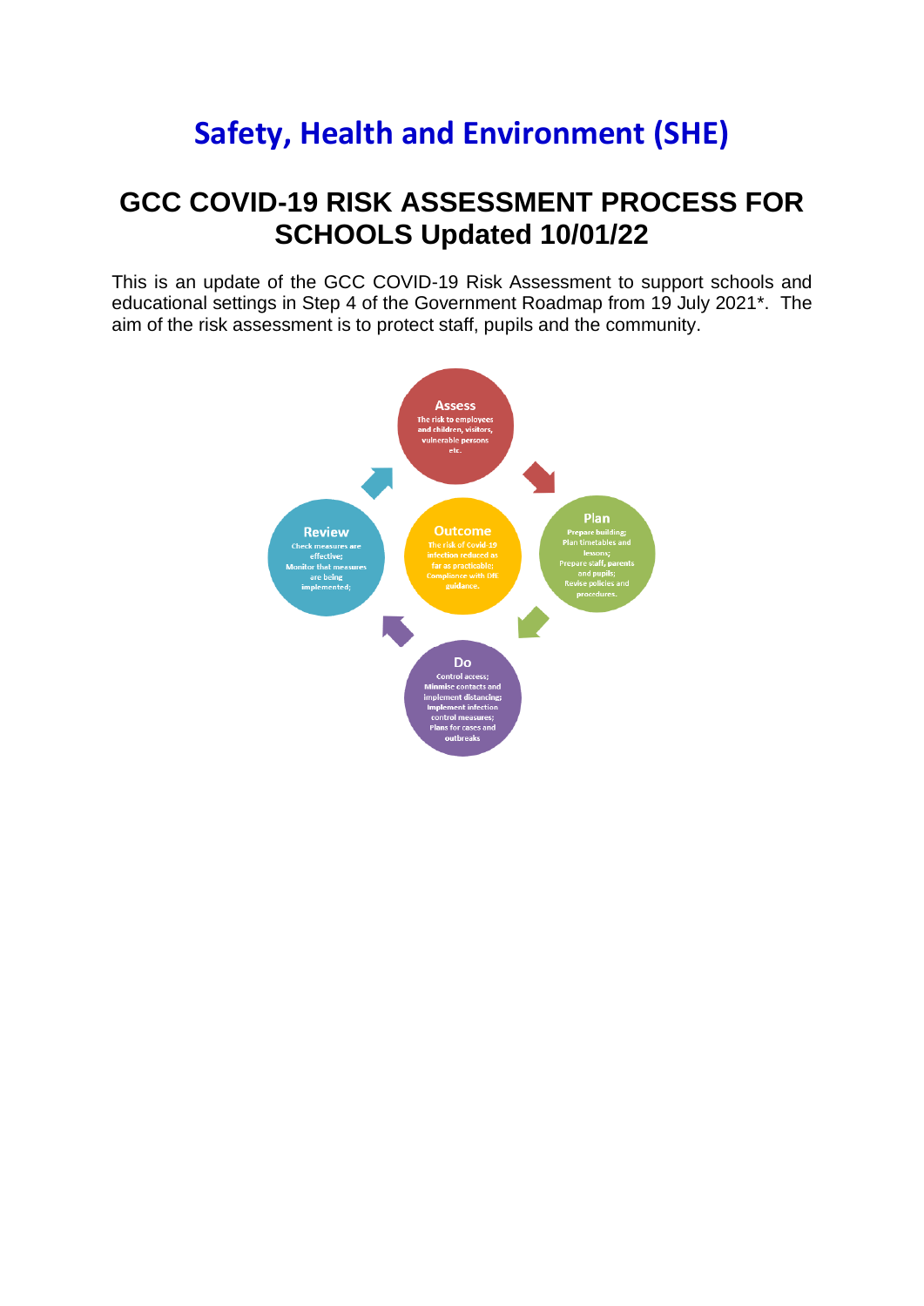## **Safety, Health and Environment (SHE)**

## **GCC COVID-19 RISK ASSESSMENT PROCESS FOR SCHOOLS Updated 10/01/22**

This is an update of the GCC COVID-19 Risk Assessment to support schools and educational settings in Step 4 of the Government Roadmap from 19 July 2021\*. The aim of the risk assessment is to protect staff, pupils and the community.

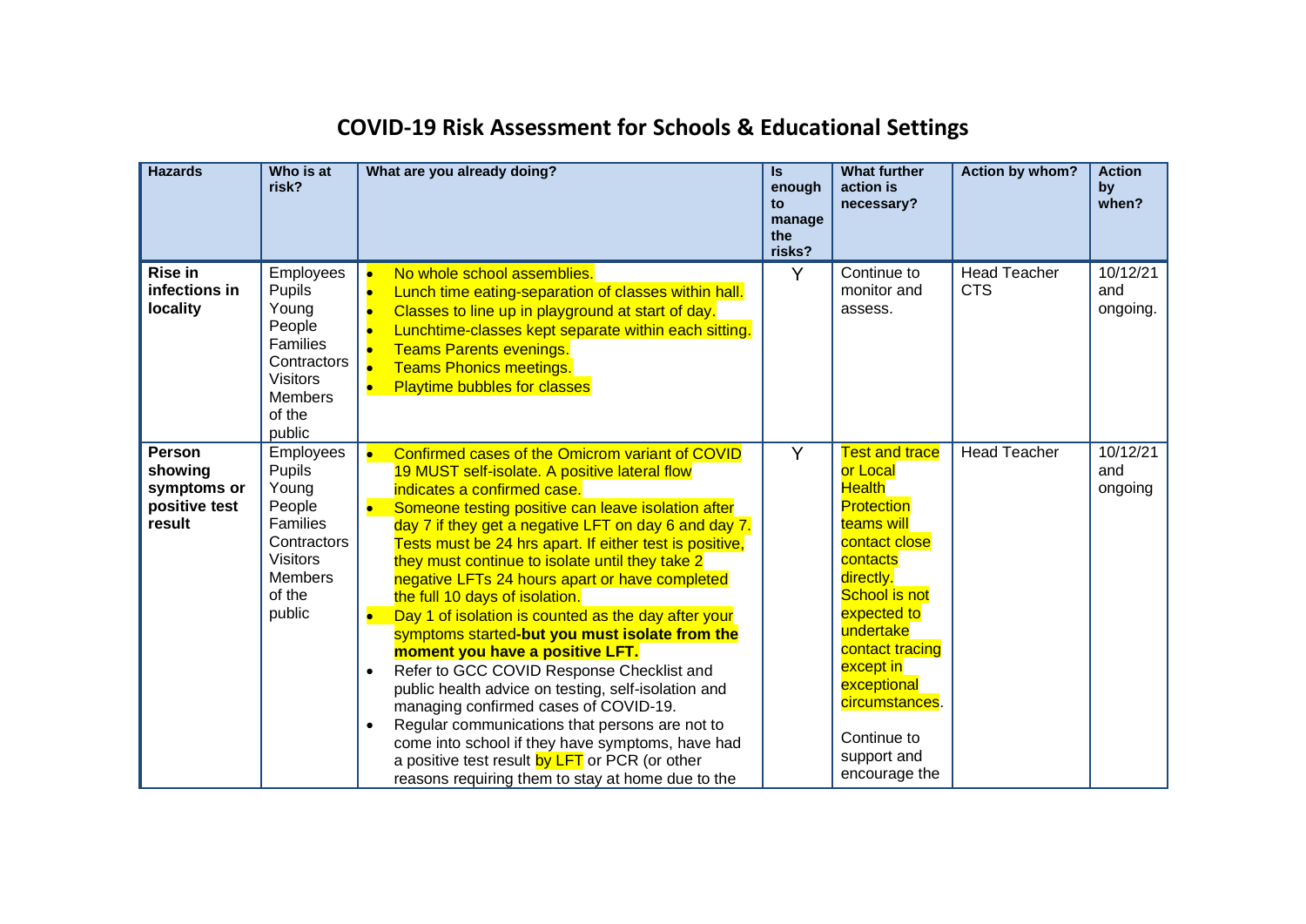| <b>Hazards</b>                                              | Who is at<br>risk?                                                                                                                | What are you already doing?                                                                                                                                                                                                                                                                                                                                                                                                                                                                                                                                                                                                                                                                                                                                                                                                                                                                                                                                                                                            | $\mathsf{ls}$<br>enough<br>to<br>manage<br>the<br>risks? | <b>What further</b><br>action is<br>necessary?                                                                                                                                                                                                                                                      | Action by whom?                   | <b>Action</b><br>by<br>when? |
|-------------------------------------------------------------|-----------------------------------------------------------------------------------------------------------------------------------|------------------------------------------------------------------------------------------------------------------------------------------------------------------------------------------------------------------------------------------------------------------------------------------------------------------------------------------------------------------------------------------------------------------------------------------------------------------------------------------------------------------------------------------------------------------------------------------------------------------------------------------------------------------------------------------------------------------------------------------------------------------------------------------------------------------------------------------------------------------------------------------------------------------------------------------------------------------------------------------------------------------------|----------------------------------------------------------|-----------------------------------------------------------------------------------------------------------------------------------------------------------------------------------------------------------------------------------------------------------------------------------------------------|-----------------------------------|------------------------------|
| <b>Rise in</b><br>infections in<br>locality                 | Employees<br>Pupils<br>Young<br>People<br>Families<br>Contractors<br><b>Visitors</b><br><b>Members</b><br>of the<br>public        | No whole school assemblies.<br>$\bullet$<br>Lunch time eating-separation of classes within hall.<br>$\bullet$<br>Classes to line up in playground at start of day.<br>$\bullet$<br>Lunchtime-classes kept separate within each sitting.<br>$\bullet$<br><b>Teams Parents evenings.</b><br><b>Teams Phonics meetings.</b><br>$\bullet$<br><b>Playtime bubbles for classes</b><br>$\bullet$                                                                                                                                                                                                                                                                                                                                                                                                                                                                                                                                                                                                                              | Y                                                        | Continue to<br>monitor and<br>assess.                                                                                                                                                                                                                                                               | <b>Head Teacher</b><br><b>CTS</b> | 10/12/21<br>and<br>ongoing.  |
| Person<br>showing<br>symptoms or<br>positive test<br>result | Employees<br>Pupils<br>Young<br>People<br><b>Families</b><br>Contractors<br><b>Visitors</b><br><b>Members</b><br>of the<br>public | Confirmed cases of the Omicrom variant of COVID<br>$\bullet$<br>19 MUST self-isolate. A positive lateral flow<br>indicates a confirmed case.<br>Someone testing positive can leave isolation after<br>$\bullet$<br>day 7 if they get a negative LFT on day 6 and day 7.<br>Tests must be 24 hrs apart. If either test is positive,<br>they must continue to isolate until they take 2<br>negative LFTs 24 hours apart or have completed<br>the full 10 days of isolation.<br>Day 1 of isolation is counted as the day after your<br>$\bullet$<br>symptoms started-but you must isolate from the<br>moment you have a positive LFT.<br>Refer to GCC COVID Response Checklist and<br>$\bullet$<br>public health advice on testing, self-isolation and<br>managing confirmed cases of COVID-19.<br>Regular communications that persons are not to<br>$\bullet$<br>come into school if they have symptoms, have had<br>a positive test result by LFT or PCR (or other<br>reasons requiring them to stay at home due to the | Y                                                        | <b>Test and trace</b><br>or Local<br><b>Health</b><br><b>Protection</b><br>teams will<br>contact close<br>contacts<br>directly.<br><b>School is not</b><br>expected to<br>undertake<br>contact tracing<br>except in<br>exceptional<br>circumstances.<br>Continue to<br>support and<br>encourage the | <b>Head Teacher</b>               | 10/12/21<br>and<br>ongoing   |

## **COVID-19 Risk Assessment for Schools & Educational Settings**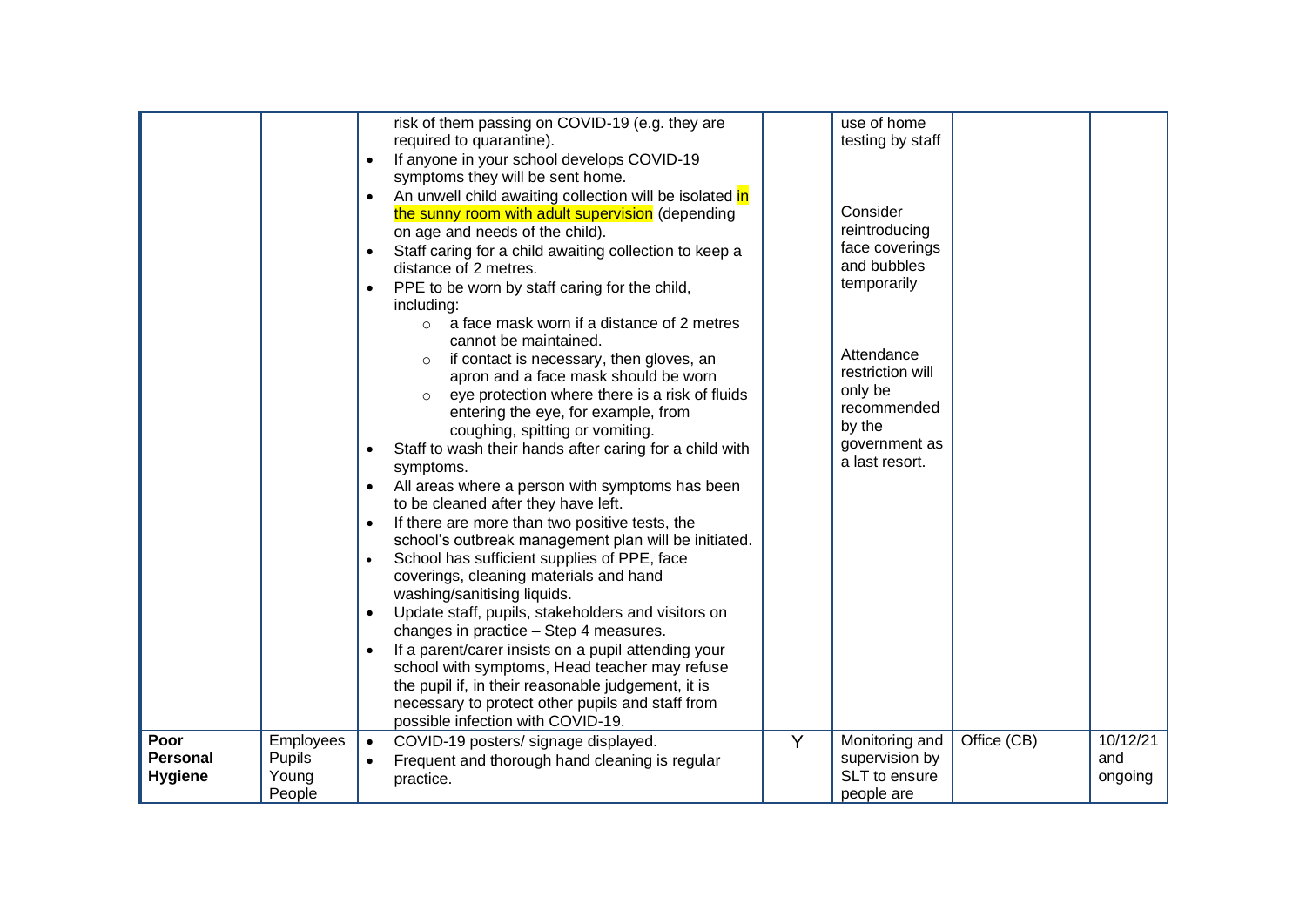|                 |               |           | risk of them passing on COVID-19 (e.g. they are           |   | use of home      |             |          |
|-----------------|---------------|-----------|-----------------------------------------------------------|---|------------------|-------------|----------|
|                 |               |           | required to quarantine).                                  |   | testing by staff |             |          |
|                 |               | $\bullet$ | If anyone in your school develops COVID-19                |   |                  |             |          |
|                 |               |           | symptoms they will be sent home.                          |   |                  |             |          |
|                 |               | $\bullet$ | An unwell child awaiting collection will be isolated in   |   |                  |             |          |
|                 |               |           | the sunny room with adult supervision (depending          |   | Consider         |             |          |
|                 |               |           | on age and needs of the child).                           |   | reintroducing    |             |          |
|                 |               | $\bullet$ | Staff caring for a child awaiting collection to keep a    |   | face coverings   |             |          |
|                 |               |           | distance of 2 metres.                                     |   | and bubbles      |             |          |
|                 |               | $\bullet$ | PPE to be worn by staff caring for the child,             |   | temporarily      |             |          |
|                 |               |           | including:                                                |   |                  |             |          |
|                 |               |           | a face mask worn if a distance of 2 metres<br>$\circ$     |   |                  |             |          |
|                 |               |           | cannot be maintained.                                     |   |                  |             |          |
|                 |               |           | if contact is necessary, then gloves, an<br>$\circ$       |   | Attendance       |             |          |
|                 |               |           | apron and a face mask should be worn                      |   | restriction will |             |          |
|                 |               |           | eye protection where there is a risk of fluids<br>$\circ$ |   | only be          |             |          |
|                 |               |           | entering the eye, for example, from                       |   | recommended      |             |          |
|                 |               |           | coughing, spitting or vomiting.                           |   | by the           |             |          |
|                 |               | $\bullet$ | Staff to wash their hands after caring for a child with   |   | government as    |             |          |
|                 |               |           | symptoms.                                                 |   | a last resort.   |             |          |
|                 |               | $\bullet$ | All areas where a person with symptoms has been           |   |                  |             |          |
|                 |               |           | to be cleaned after they have left.                       |   |                  |             |          |
|                 |               | $\bullet$ | If there are more than two positive tests, the            |   |                  |             |          |
|                 |               |           | school's outbreak management plan will be initiated.      |   |                  |             |          |
|                 |               | $\bullet$ | School has sufficient supplies of PPE, face               |   |                  |             |          |
|                 |               |           | coverings, cleaning materials and hand                    |   |                  |             |          |
|                 |               |           | washing/sanitising liquids.                               |   |                  |             |          |
|                 |               | $\bullet$ | Update staff, pupils, stakeholders and visitors on        |   |                  |             |          |
|                 |               |           | changes in practice - Step 4 measures.                    |   |                  |             |          |
|                 |               | $\bullet$ | If a parent/carer insists on a pupil attending your       |   |                  |             |          |
|                 |               |           | school with symptoms, Head teacher may refuse             |   |                  |             |          |
|                 |               |           | the pupil if, in their reasonable judgement, it is        |   |                  |             |          |
|                 |               |           | necessary to protect other pupils and staff from          |   |                  |             |          |
|                 |               |           | possible infection with COVID-19.                         |   |                  |             |          |
| Poor            | Employees     | $\bullet$ | COVID-19 posters/ signage displayed.                      | Y | Monitoring and   | Office (CB) | 10/12/21 |
| <b>Personal</b> | <b>Pupils</b> | $\bullet$ | Frequent and thorough hand cleaning is regular            |   | supervision by   |             | and      |
| <b>Hygiene</b>  | Young         |           | practice.                                                 |   | SLT to ensure    |             | ongoing  |
|                 | People        |           |                                                           |   | people are       |             |          |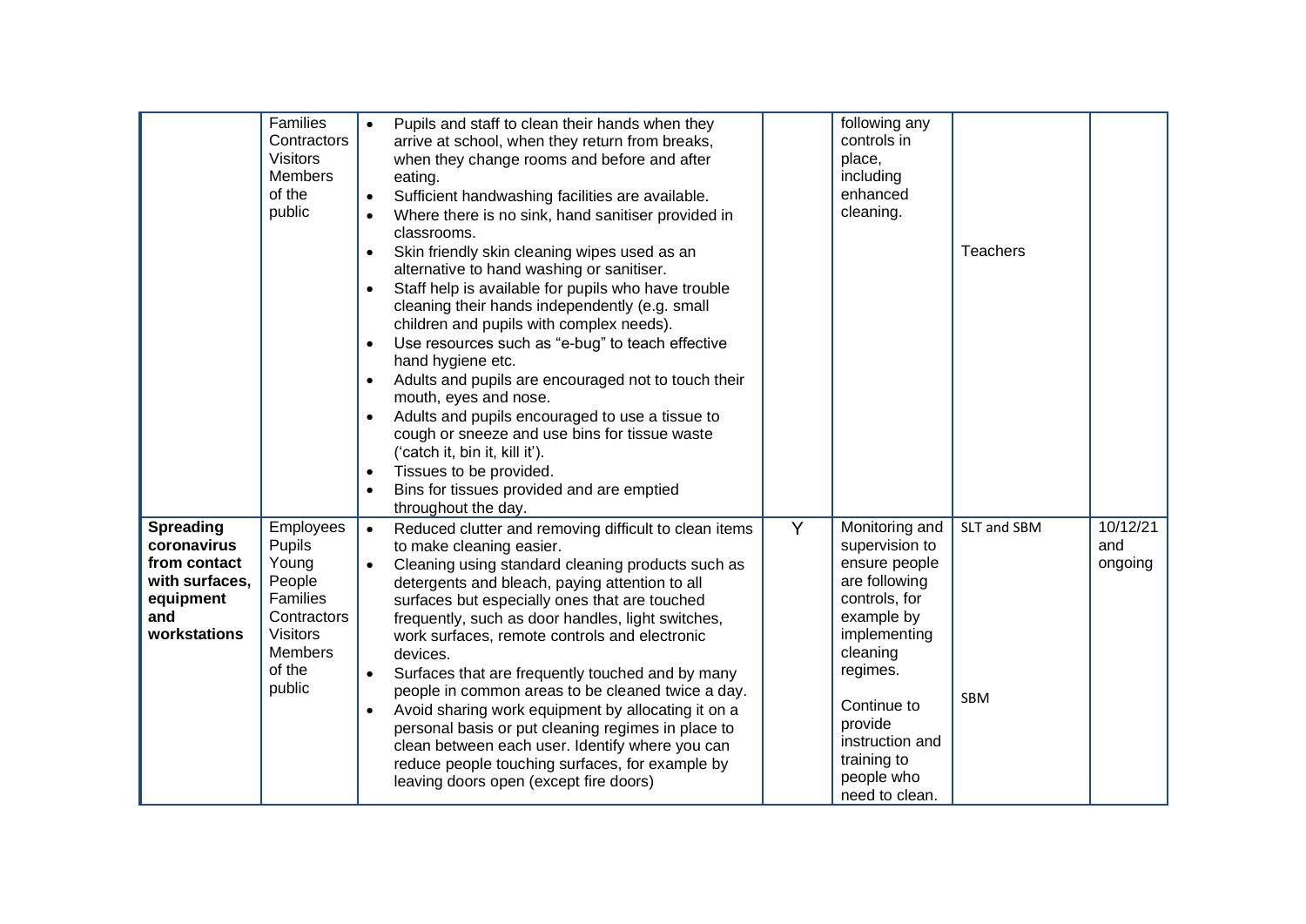|                                                                                                       | Families<br>Contractors<br><b>Visitors</b><br><b>Members</b><br>of the<br>public                                           | Pupils and staff to clean their hands when they<br>arrive at school, when they return from breaks,<br>when they change rooms and before and after<br>eating.<br>Sufficient handwashing facilities are available.<br>$\bullet$<br>Where there is no sink, hand sanitiser provided in<br>$\bullet$<br>classrooms.<br>Skin friendly skin cleaning wipes used as an<br>$\bullet$<br>alternative to hand washing or sanitiser.<br>Staff help is available for pupils who have trouble<br>$\bullet$<br>cleaning their hands independently (e.g. small<br>children and pupils with complex needs).<br>Use resources such as "e-bug" to teach effective<br>$\bullet$<br>hand hygiene etc.<br>Adults and pupils are encouraged not to touch their<br>mouth, eyes and nose.<br>Adults and pupils encouraged to use a tissue to<br>cough or sneeze and use bins for tissue waste<br>('catch it, bin it, kill it').<br>Tissues to be provided.<br>$\bullet$<br>Bins for tissues provided and are emptied<br>$\bullet$<br>throughout the day. |   | following any<br>controls in<br>place,<br>including<br>enhanced<br>cleaning.                                                                                                                                                          | <b>Teachers</b>           |                            |
|-------------------------------------------------------------------------------------------------------|----------------------------------------------------------------------------------------------------------------------------|----------------------------------------------------------------------------------------------------------------------------------------------------------------------------------------------------------------------------------------------------------------------------------------------------------------------------------------------------------------------------------------------------------------------------------------------------------------------------------------------------------------------------------------------------------------------------------------------------------------------------------------------------------------------------------------------------------------------------------------------------------------------------------------------------------------------------------------------------------------------------------------------------------------------------------------------------------------------------------------------------------------------------------|---|---------------------------------------------------------------------------------------------------------------------------------------------------------------------------------------------------------------------------------------|---------------------------|----------------------------|
| <b>Spreading</b><br>coronavirus<br>from contact<br>with surfaces,<br>equipment<br>and<br>workstations | Employees<br>Pupils<br>Young<br>People<br>Families<br>Contractors<br><b>Visitors</b><br><b>Members</b><br>of the<br>public | Reduced clutter and removing difficult to clean items<br>$\bullet$<br>to make cleaning easier.<br>Cleaning using standard cleaning products such as<br>$\bullet$<br>detergents and bleach, paying attention to all<br>surfaces but especially ones that are touched<br>frequently, such as door handles, light switches,<br>work surfaces, remote controls and electronic<br>devices.<br>Surfaces that are frequently touched and by many<br>$\bullet$<br>people in common areas to be cleaned twice a day.<br>Avoid sharing work equipment by allocating it on a<br>$\bullet$<br>personal basis or put cleaning regimes in place to<br>clean between each user. Identify where you can<br>reduce people touching surfaces, for example by<br>leaving doors open (except fire doors)                                                                                                                                                                                                                                             | Y | Monitoring and<br>supervision to<br>ensure people<br>are following<br>controls, for<br>example by<br>implementing<br>cleaning<br>regimes.<br>Continue to<br>provide<br>instruction and<br>training to<br>people who<br>need to clean. | SLT and SBM<br><b>SBM</b> | 10/12/21<br>and<br>ongoing |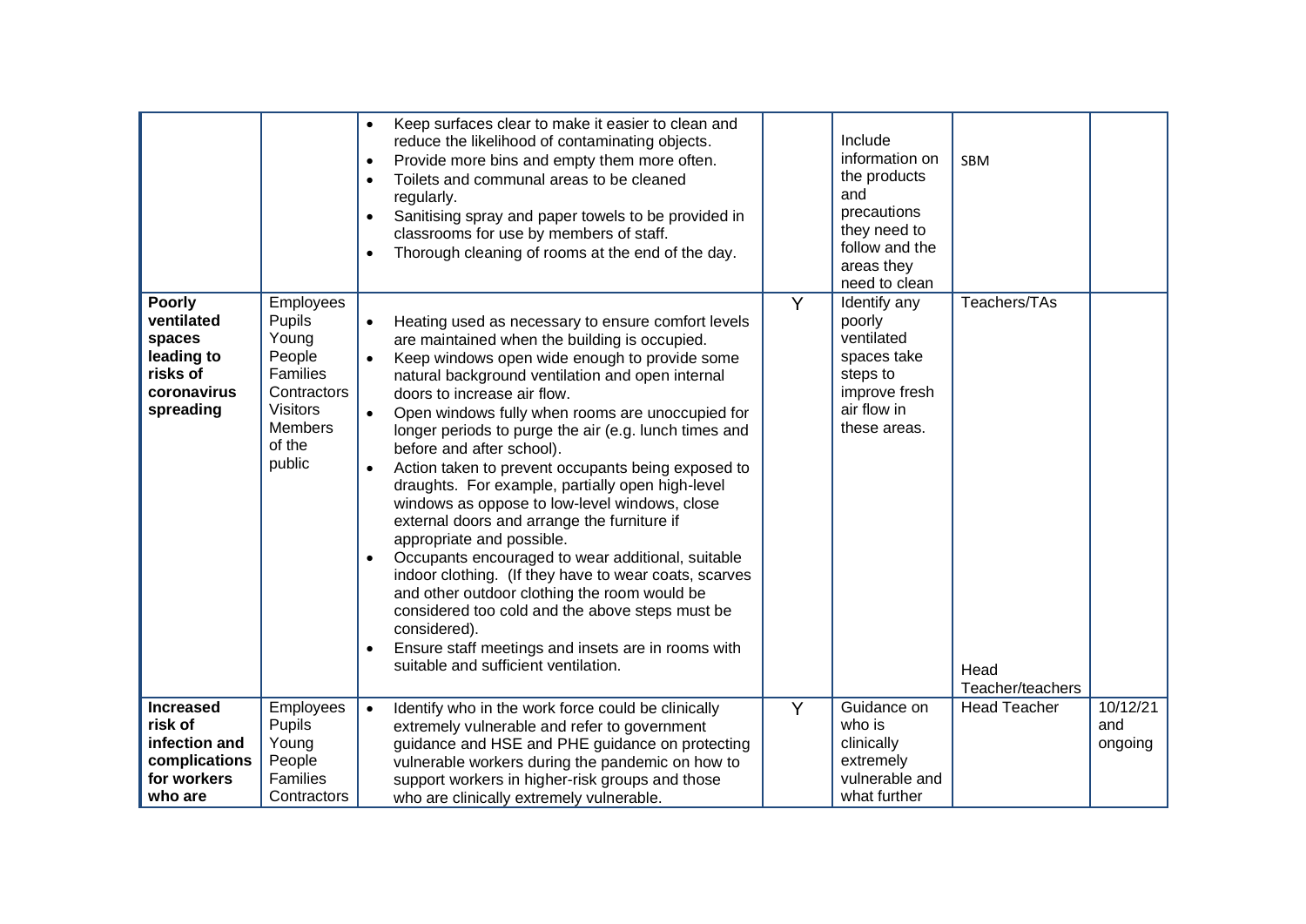|                                                                                             |                                                                                                                            | $\bullet$<br>$\bullet$<br>$\bullet$<br>$\bullet$<br>$\bullet$              | Keep surfaces clear to make it easier to clean and<br>reduce the likelihood of contaminating objects.<br>Provide more bins and empty them more often.<br>Toilets and communal areas to be cleaned<br>regularly.<br>Sanitising spray and paper towels to be provided in<br>classrooms for use by members of staff.<br>Thorough cleaning of rooms at the end of the day.                                                                                                                                                                                                                                                                                                                                                                                                                                                                                                                                                                                  |                | Include<br>information on<br>the products<br>and<br>precautions<br>they need to<br>follow and the<br>areas they<br>need to clean | <b>SBM</b>                               |                            |
|---------------------------------------------------------------------------------------------|----------------------------------------------------------------------------------------------------------------------------|----------------------------------------------------------------------------|---------------------------------------------------------------------------------------------------------------------------------------------------------------------------------------------------------------------------------------------------------------------------------------------------------------------------------------------------------------------------------------------------------------------------------------------------------------------------------------------------------------------------------------------------------------------------------------------------------------------------------------------------------------------------------------------------------------------------------------------------------------------------------------------------------------------------------------------------------------------------------------------------------------------------------------------------------|----------------|----------------------------------------------------------------------------------------------------------------------------------|------------------------------------------|----------------------------|
| <b>Poorly</b><br>ventilated<br>spaces<br>leading to<br>risks of<br>coronavirus<br>spreading | Employees<br>Pupils<br>Young<br>People<br>Families<br>Contractors<br><b>Visitors</b><br><b>Members</b><br>of the<br>public | $\bullet$<br>$\bullet$<br>$\bullet$<br>$\bullet$<br>$\bullet$<br>$\bullet$ | Heating used as necessary to ensure comfort levels<br>are maintained when the building is occupied.<br>Keep windows open wide enough to provide some<br>natural background ventilation and open internal<br>doors to increase air flow.<br>Open windows fully when rooms are unoccupied for<br>longer periods to purge the air (e.g. lunch times and<br>before and after school).<br>Action taken to prevent occupants being exposed to<br>draughts. For example, partially open high-level<br>windows as oppose to low-level windows, close<br>external doors and arrange the furniture if<br>appropriate and possible.<br>Occupants encouraged to wear additional, suitable<br>indoor clothing. (If they have to wear coats, scarves<br>and other outdoor clothing the room would be<br>considered too cold and the above steps must be<br>considered).<br>Ensure staff meetings and insets are in rooms with<br>suitable and sufficient ventilation. | $\overline{Y}$ | Identify any<br>poorly<br>ventilated<br>spaces take<br>steps to<br>improve fresh<br>air flow in<br>these areas.                  | Teachers/TAs<br>Head<br>Teacher/teachers |                            |
| <b>Increased</b><br>risk of<br>infection and<br>complications<br>for workers<br>who are     | Employees<br>Pupils<br>Young<br>People<br>Families<br>Contractors                                                          | $\bullet$                                                                  | Identify who in the work force could be clinically<br>extremely vulnerable and refer to government<br>guidance and HSE and PHE guidance on protecting<br>vulnerable workers during the pandemic on how to<br>support workers in higher-risk groups and those<br>who are clinically extremely vulnerable.                                                                                                                                                                                                                                                                                                                                                                                                                                                                                                                                                                                                                                                | Y              | Guidance on<br>who is<br>clinically<br>extremely<br>vulnerable and<br>what further                                               | <b>Head Teacher</b>                      | 10/12/21<br>and<br>ongoing |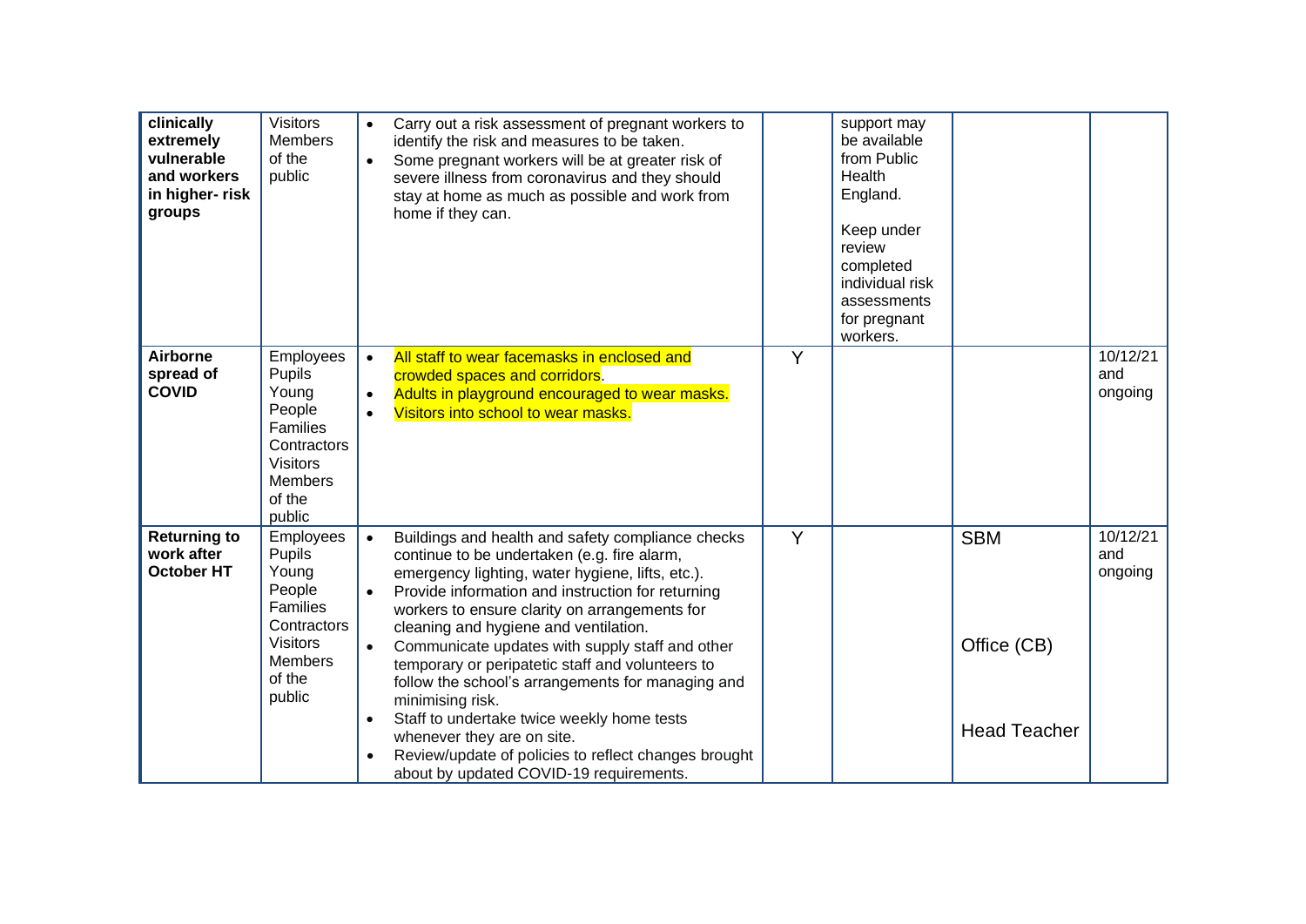| clinically<br>extremely<br>vulnerable<br>and workers<br>in higher-risk<br>groups | <b>Visitors</b><br><b>Members</b><br>of the<br>public                                                                      | $\bullet$<br>$\bullet$                                        | Carry out a risk assessment of pregnant workers to<br>identify the risk and measures to be taken.<br>Some pregnant workers will be at greater risk of<br>severe illness from coronavirus and they should<br>stay at home as much as possible and work from<br>home if they can.                                                                                                                                                                                                                                                                                                                                                                                    |   | support may<br>be available<br>from Public<br>Health<br>England.<br>Keep under<br>review<br>completed<br>individual risk<br>assessments<br>for pregnant<br>workers. |                                                  |                            |
|----------------------------------------------------------------------------------|----------------------------------------------------------------------------------------------------------------------------|---------------------------------------------------------------|--------------------------------------------------------------------------------------------------------------------------------------------------------------------------------------------------------------------------------------------------------------------------------------------------------------------------------------------------------------------------------------------------------------------------------------------------------------------------------------------------------------------------------------------------------------------------------------------------------------------------------------------------------------------|---|---------------------------------------------------------------------------------------------------------------------------------------------------------------------|--------------------------------------------------|----------------------------|
| <b>Airborne</b><br>spread of<br><b>COVID</b>                                     | Employees<br>Pupils<br>Young<br>People<br>Families<br>Contractors<br><b>Visitors</b><br><b>Members</b><br>of the<br>public | $\bullet$<br>$\bullet$<br>$\bullet$                           | All staff to wear facemasks in enclosed and<br>crowded spaces and corridors.<br>Adults in playground encouraged to wear masks.<br>Visitors into school to wear masks.                                                                                                                                                                                                                                                                                                                                                                                                                                                                                              | Y |                                                                                                                                                                     |                                                  | 10/12/21<br>and<br>ongoing |
| <b>Returning to</b><br>work after<br><b>October HT</b>                           | Employees<br>Pupils<br>Young<br>People<br>Families<br>Contractors<br><b>Visitors</b><br><b>Members</b><br>of the<br>public | $\bullet$<br>$\bullet$<br>$\bullet$<br>$\bullet$<br>$\bullet$ | Buildings and health and safety compliance checks<br>continue to be undertaken (e.g. fire alarm,<br>emergency lighting, water hygiene, lifts, etc.).<br>Provide information and instruction for returning<br>workers to ensure clarity on arrangements for<br>cleaning and hygiene and ventilation.<br>Communicate updates with supply staff and other<br>temporary or peripatetic staff and volunteers to<br>follow the school's arrangements for managing and<br>minimising risk.<br>Staff to undertake twice weekly home tests<br>whenever they are on site.<br>Review/update of policies to reflect changes brought<br>about by updated COVID-19 requirements. | Y |                                                                                                                                                                     | <b>SBM</b><br>Office (CB)<br><b>Head Teacher</b> | 10/12/21<br>and<br>ongoing |